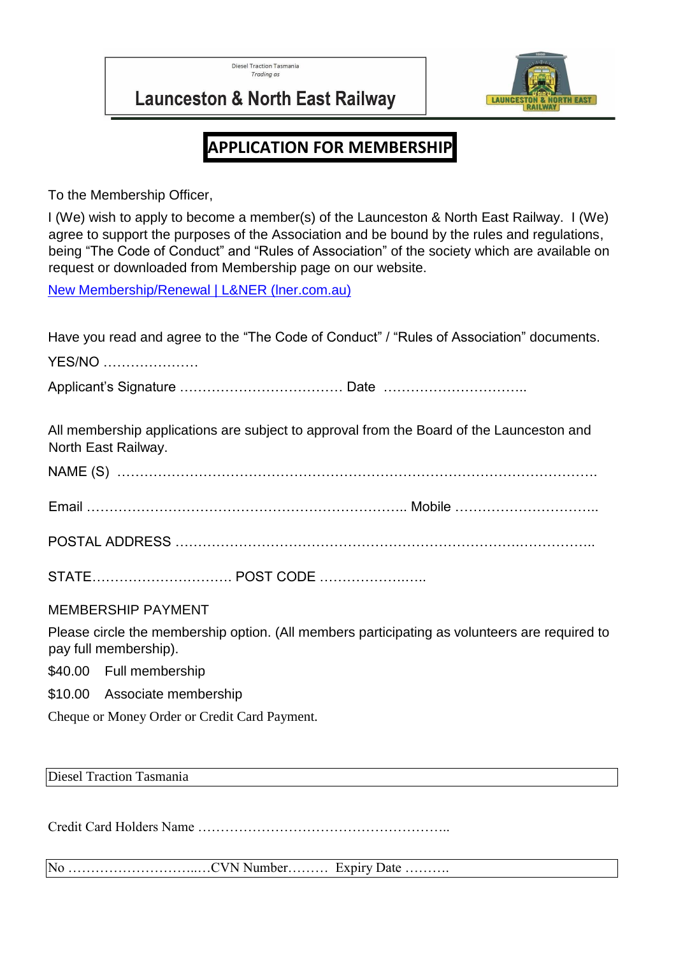**Diesel Traction Tasmania** Trading as



**Launceston & North East Railway** 

# **APPLICATION FOR MEMBERSHIP**

To the Membership Officer,

I (We) wish to apply to become a member(s) of the Launceston & North East Railway. I (We) agree to support the purposes of the Association and be bound by the rules and regulations, being "The Code of Conduct" and "Rules of Association" of the society which are available on request or downloaded from Membership page on our website.

[New Membership/Renewal | L&NER \(lner.com.au\)](https://www.lner.com.au/copy-of-membership)

| Have you read and agree to the "The Code of Conduct" / "Rules of Association" documents.<br><b>YES/NO</b>              |
|------------------------------------------------------------------------------------------------------------------------|
|                                                                                                                        |
| All membership applications are subject to approval from the Board of the Launceston and<br>North East Railway.        |
|                                                                                                                        |
|                                                                                                                        |
|                                                                                                                        |
|                                                                                                                        |
| <b>MEMBERSHIP PAYMENT</b>                                                                                              |
| Please circle the membership option. (All members participating as volunteers are required to<br>pay full membership). |
| \$40.00 Full membership                                                                                                |
| \$10.00 Associate membership                                                                                           |
| Cheque or Money Order or Credit Card Payment.                                                                          |

Diesel Traction Tasmania

Credit Card Holders Name ………………………………………………..

No ………………………..…CVN Number……… Expiry Date ……….